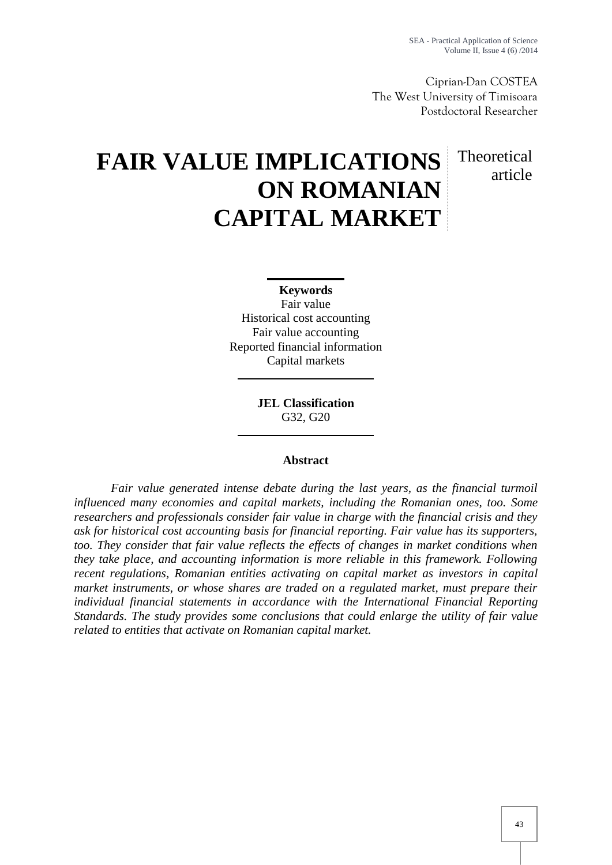Theoretical

article

Ciprian-Dan COSTEA The West University of Timisoara Postdoctoral Researcher

# **FAIR VALUE IMPLICATIONS ON ROMANIAN CAPITAL MARKET**

**Keywords** Fair value Historical cost accounting Fair value accounting Reported financial information Capital markets

> **JEL Classification** G32, G20

### **Abstract**

*Fair value generated intense debate during the last years, as the financial turmoil influenced many economies and capital markets, including the Romanian ones, too. Some researchers and professionals consider fair value in charge with the financial crisis and they ask for historical cost accounting basis for financial reporting. Fair value has its supporters, too. They consider that fair value reflects the effects of changes in market conditions when they take place, and accounting information is more reliable in this framework. Following recent regulations, Romanian entities activating on capital market as investors in capital market instruments, or whose shares are traded on a regulated market, must prepare their individual financial statements in accordance with the International Financial Reporting Standards. The study provides some conclusions that could enlarge the utility of fair value related to entities that activate on Romanian capital market.*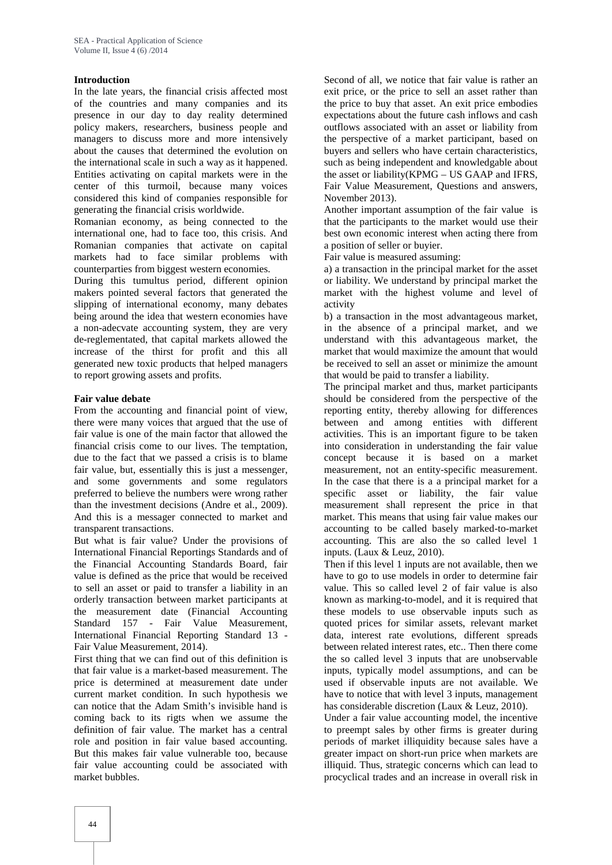### **Introduction**

In the late years, the financial crisis affected most of the countries and many companies and its presence in our day to day reality determined policy makers, researchers, business people and managers to discuss more and more intensively about the causes that determined the evolution on the international scale in such a way as it happened. Entities activating on capital markets were in the center of this turmoil, because many voices considered this kind of companies responsible for generating the financial crisis worldwide.

Romanian economy, as being connected to the international one, had to face too, this crisis. And Romanian companies that activate on capital markets had to face similar problems with counterparties from biggest western economies.

During this tumultus period, different opinion makers pointed several factors that generated the slipping of international economy, many debates being around the idea that western economies have a non-adecvate accounting system, they are very de-reglementated, that capital markets allowed the increase of the thirst for profit and this all generated new toxic products that helped managers to report growing assets and profits.

#### **Fair value debate**

From the accounting and financial point of view, there were many voices that argued that the use of fair value is one of the main factor that allowed the financial crisis come to our lives. The temptation, due to the fact that we passed a crisis is to blame fair value, but, essentially this is just a messenger, and some governments and some regulators preferred to believe the numbers were wrong rather than the investment decisions (Andre et al., 2009). And this is a messager connected to market and transparent transactions.

But what is fair value? Under the provisions of International Financial Reportings Standards and of the Financial Accounting Standards Board, fair value is defined as the price that would be received to sell an asset or paid to transfer a liability in an orderly transaction between market participants at the measurement date (Financial Accounting Standard 157 - Fair Value Measurement, International Financial Reporting Standard 13 - Fair Value Measurement, 2014).

First thing that we can find out of this definition is that fair value is a market-based measurement. The price is determined at measurement date under current market condition. In such hypothesis we can notice that the Adam Smith's invisible hand is coming back to its rigts when we assume the definition of fair value. The market has a central role and position in fair value based accounting. But this makes fair value vulnerable too, because fair value accounting could be associated with market bubbles.

Second of all, we notice that fair value is rather an exit price, or the price to sell an asset rather than the price to buy that asset. An exit price embodies expectations about the future cash inflows and cash outflows associated with an asset or liability from the perspective of a market participant, based on buyers and sellers who have certain characteristics, such as being independent and knowledgable about the asset or liability(KPMG – US GAAP and IFRS, Fair Value Measurement, Questions and answers, November 2013).

Another important assumption of the fair value is that the participants to the market would use their best own economic interest when acting there from a position of seller or buyier.

Fair value is measured assuming:

a) a transaction in the principal market for the asset or liability. We understand by principal market the market with the highest volume and level of activity

b) a transaction in the most advantageous market, in the absence of a principal market, and we understand with this advantageous market, the market that would maximize the amount that would be received to sell an asset or minimize the amount that would be paid to transfer a liability.

The principal market and thus, market participants should be considered from the perspective of the reporting entity, thereby allowing for differences between and among entities with different activities. This is an important figure to be taken into consideration in understanding the fair value concept because it is based on a market measurement, not an entity-specific measurement. In the case that there is a a principal market for a specific asset or liability, the fair value measurement shall represent the price in that market. This means that using fair value makes our accounting to be called basely marked-to-market accounting. This are also the so called level 1 inputs. (Laux & Leuz, 2010).

Then if this level 1 inputs are not available, then we have to go to use models in order to determine fair value. This so called level 2 of fair value is also known as marking-to-model, and it is required that these models to use observable inputs such as quoted prices for similar assets, relevant market data, interest rate evolutions, different spreads between related interest rates, etc.. Then there come the so called level 3 inputs that are unobservable inputs, typically model assumptions, and can be used if observable inputs are not available. We have to notice that with level 3 inputs, management has considerable discretion (Laux & Leuz, 2010).

Under a fair value accounting model, the incentive to preempt sales by other firms is greater during periods of market illiquidity because sales have a greater impact on short-run price when markets are illiquid. Thus, strategic concerns which can lead to procyclical trades and an increase in overall risk in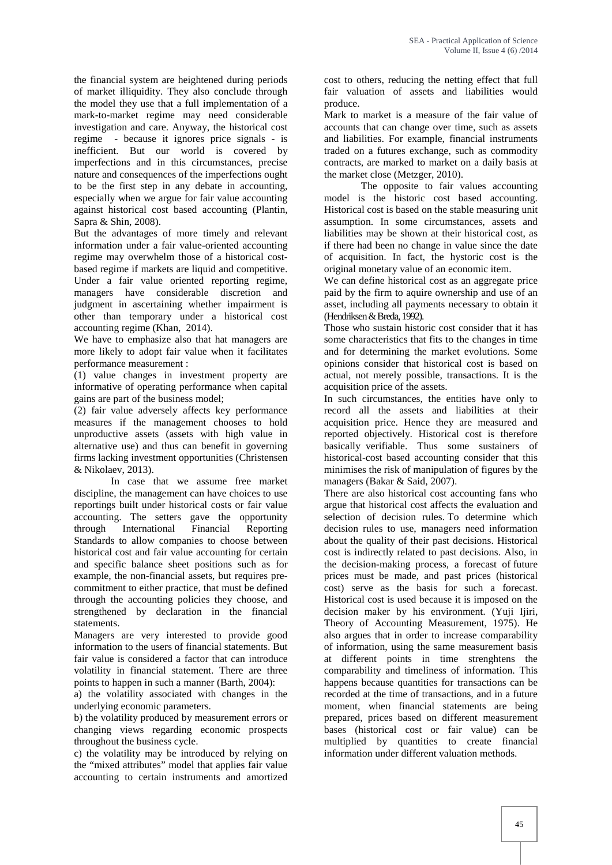the financial system are heightened during periods of market illiquidity. They also conclude through the model they use that a full implementation of a mark-to-market regime may need considerable investigation and care. Anyway, the historical cost regime - because it ignores price signals - is inefficient. But our world is covered by imperfections and in this circumstances, precise nature and consequences of the imperfections ought to be the first step in any debate in accounting, especially when we argue for fair value accounting against historical cost based accounting (Plantin, Sapra & Shin, 2008).

But the advantages of more timely and relevant information under a fair value-oriented accounting regime may overwhelm those of a historical cost based regime if markets are liquid and competitive. Under a fair value oriented reporting regime, managers have considerable discretion and judgment in ascertaining whether impairment is other than temporary under a historical cost accounting regime (Khan, 2014).

We have to emphasize also that hat managers are more likely to adopt fair value when it facilitates performance measurement :

(1) value changes in investment property are informative of operating performance when capital gains are part of the business model;

(2) fair value adversely affects key performance measures if the management chooses to hold unproductive assets (assets with high value in alternative use) and thus can benefit in governing firms lacking investment opportunities (Christensen & Nikolaev, 2013).

In case that we assume free market discipline, the management can have choices to use reportings built under historical costs or fair value accounting. The setters gave the opportunity<br>through International Financial Reporting through International Financial Reporting Standards to allow companies to choose between historical cost and fair value accounting for certain and specific balance sheet positions such as for example, the non-financial assets, but requires pre commitment to either practice, that must be defined through the accounting policies they choose, and strengthened by declaration in the financial statements.

Managers are very interested to provide good information to the users of financial statements. But fair value is considered a factor that can introduce volatility in financial statement. There are three points to happen in such a manner (Barth, 2004):

a) the volatility associated with changes in the underlying economic parameters.

b) the volatility produced by measurement errors or changing views regarding economic prospects throughout the business cycle.

c) the volatility may be introduced by relying on the "mixed attributes" model that applies fair value accounting to certain instruments and amortized

cost to others, reducing the netting effect that full fair valuation of assets and liabilities would produce.

Mark to market is a measure of the fair value of accounts that can change over time, such as assets and liabilities. For example, financial instruments traded on a futures exchange, such as commodity contracts, are marked to market on a daily basis at the market close (Metzger, 2010).

The opposite to fair values accounting model is the historic cost based accounting. Historical cost is based on the stable measuring unit assumption. In some circumstances, assets and liabilities may be shown at their historical cost, as if there had been no change in value since the date of acquisition. In fact, the hystoric cost is the original monetary value of an economic item.

We can define historical cost as an aggregate price paid by the firm to aquire ownership and use of an asset, including all payments necessary to obtain it (Hendriksen & Breda, 1992).

Those who sustain historic cost consider that it has some characteristics that fits to the changes in time and for determining the market evolutions. Some opinions consider that historical cost is based on actual, not merely possible, transactions. It is the acquisition price of the assets.

In such circumstances, the entities have only to record all the assets and liabilities at their acquisition price. Hence they are measured and reported objectively. Historical cost is therefore basically verifiable. Thus some sustainers of historical-cost based accounting consider that this minimises the risk of manipulation of figures by the managers (Bakar & Said, 2007).

There are also historical cost accounting fans who argue that historical cost affects the evaluation and selection of decision rules. To determine which decision rules to use, managers need information about the quality of their past decisions. Historical cost is indirectly related to past decisions. Also, in the decision-making process, a forecast of future prices must be made, and past prices (historical cost) serve as the basis for such a forecast. Historical cost is used because it is imposed on the decision maker by his environment. (Yuji Ijiri, Theory of Accounting Measurement, 1975). He also argues that in order to increase comparability of information, using the same measurement basis at different points in time strenghtens the comparability and timeliness of information. This happens because quantities for transactions can be recorded at the time of transactions, and in a future moment, when financial statements are being prepared, prices based on different measurement bases (historical cost or fair value) can be multiplied by quantities to create financial information under different valuation methods.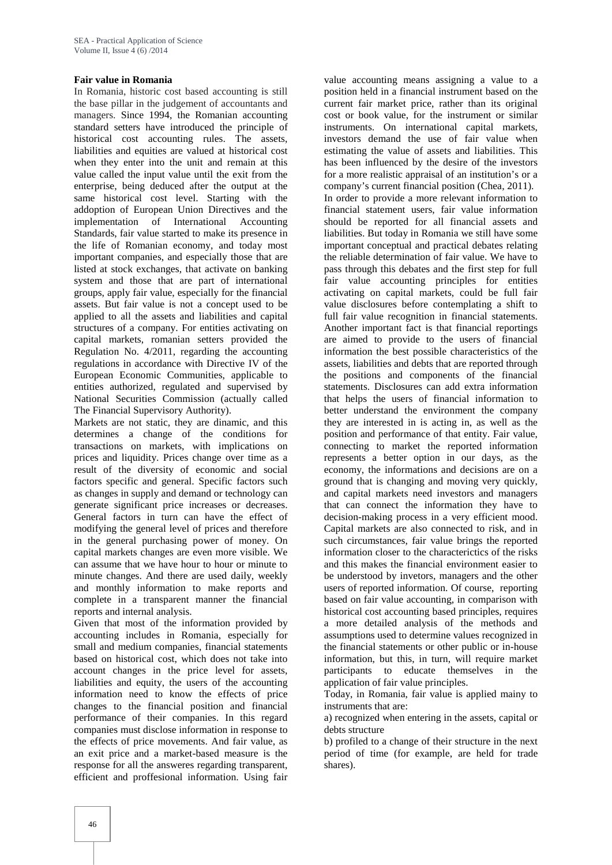#### **Fair value in Romania**

In Romania, historic cost based accounting is still the base pillar in the judgement of accountants and managers. Since 1994, the Romanian accounting standard setters have introduced the principle of historical cost accounting rules. The assets, liabilities and equities are valued at historical cost when they enter into the unit and remain at this value called the input value until the exit from the enterprise, being deduced after the output at the same historical cost level. Starting with the addoption of European Union Directives and the implementation of International Accounting Standards, fair value started to make its presence in the life of Romanian economy, and today most important companies, and especially those that are listed at stock exchanges, that activate on banking system and those that are part of international groups, apply fair value, especially for the financial assets. But fair value is not a concept used to be applied to all the assets and liabilities and capital structures of a company. For entities activating on capital markets, romanian setters provided the Regulation No. 4/2011, regarding the accounting regulations in accordance with Directive IV of the European Economic Communities, applicable to entities authorized, regulated and supervised by National Securities Commission (actually called The Financial Supervisory Authority).

Markets are not static, they are dinamic, and this determines a change of the conditions for transactions on markets, with implications on prices and liquidity. Prices change over time as a result of the diversity of economic and social factors specific and general. Specific factors such as changes in supply and demand or technology can generate significant price increases or decreases. General factors in turn can have the effect of modifying the general level of prices and therefore in the general purchasing power of money. On capital markets changes are even more visible. We can assume that we have hour to hour or minute to minute changes. And there are used daily, weekly and monthly information to make reports and complete in a transparent manner the financial reports and internal analysis.

Given that most of the information provided by accounting includes in Romania, especially for small and medium companies, financial statements based on historical cost, which does not take into account changes in the price level for assets, liabilities and equity, the users of the accounting information need to know the effects of price changes to the financial position and financial performance of their companies. In this regard companies must disclose information in response to the effects of price movements. And fair value, as an exit price and a market-based measure is the response for all the answeres regarding transparent, efficient and proffesional information. Using fair

value accounting means assigning a value to a position held in a financial instrument based on the current fair market price, rather than its original cost or book value, for the instrument or similar instruments. On international capital markets, investors demand the use of fair value when estimating the value of assets and liabilities. This has been influenced by the desire of the investors for a more realistic appraisal of an institution's or a company's current financial position (Chea, 2011). In order to provide a more relevant information to financial statement users, fair value information should be reported for all financial assets and liabilities. But today in Romania we still have some important conceptual and practical debates relating the reliable determination of fair value. We have to pass through this debates and the first step for full fair value accounting principles for entities activating on capital markets, could be full fair value disclosures before contemplating a shift to full fair value recognition in financial statements. Another important fact is that financial reportings are aimed to provide to the users of financial information the best possible characteristics of the assets, liabilities and debts that are reported through the positions and components of the financial statements. Disclosures can add extra information that helps the users of financial information to better understand the environment the company they are interested in is acting in, as well as the position and performance of that entity. Fair value, connecting to market the reported information represents a better option in our days, as the economy, the informations and decisions are on a ground that is changing and moving very quickly, and capital markets need investors and managers that can connect the information they have to decision-making process in a very efficient mood. Capital markets are also connected to risk, and in such circumstances, fair value brings the reported information closer to the characterictics of the risks and this makes the financial environment easier to be understood by invetors, managers and the other users of reported information. Of course, reporting based on fair value accounting, in comparison with historical cost accounting based principles, requires a more detailed analysis of the methods and assumptions used to determine values recognized in the financial statements or other public or in-house information, but this, in turn, will require market participants to educate themselves in the application of fair value principles.

Today, in Romania, fair value is applied mainy to instruments that are:

a) recognized when entering in the assets, capital or debts structure

b) profiled to a change of their structure in the next period of time (for example, are held for trade shares).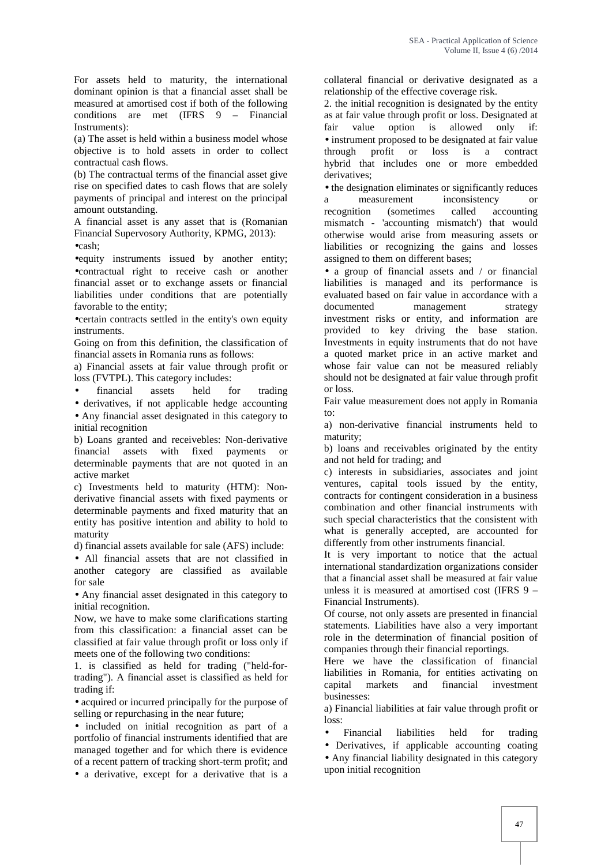For assets held to maturity, the international dominant opinion is that a financial asset shall be measured at amortised cost if both of the following conditions are met (IFRS 9 – Financial Instruments):

(a) The asset is held within a business model whose objective is to hold assets in order to collect contractual cash flows.

(b) The contractual terms of the financial asset give rise on specified dates to cash flows that are solely payments of principal and interest on the principal amount outstanding.

A financial asset is any asset that is (Romanian Financial Supervosory Authority, KPMG, 2013):  $ecash$ 

equity instruments issued by another entity; contractual right to receive cash or another financial asset or to exchange assets or financial liabilities under conditions that are potentially favorable to the entity;

certain contracts settled in the entity's own equity instruments.

Going on from this definition, the classification of financial assets in Romania runs as follows:

a) Financial assets at fair value through profit or loss (FVTPL). This category includes:

financial assets held for trading

 derivatives, if not applicable hedge accounting Any financial asset designated in this category to initial recognition

b) Loans granted and receivebles: Non-derivative financial assets with fixed payments or determinable payments that are not quoted in an active market

c) Investments held to maturity (HTM): Non derivative financial assets with fixed payments or determinable payments and fixed maturity that an entity has positive intention and ability to hold to maturity

d) financial assets available for sale (AFS) include:

 All financial assets that are not classified in another category are classified as available for sale

 Any financial asset designated in this category to initial recognition.

Now, we have to make some clarifications starting from this classification: a financial asset can be classified at fair value through profit or loss only if meets one of the following two conditions:

1. is classified as held for trading ("held-fortrading"). A financial asset is classified as held for trading if:

 acquired or incurred principally for the purpose of selling or repurchasing in the near future;

• included on initial recognition as part of a portfolio of financial instruments identified that are managed together and for which there is evidence of a recent pattern of tracking short-term profit; and

a derivative, except for a derivative that is a

collateral financial or derivative designated as a relationship of the effective coverage risk.

2. the initial recognition is designated by the entity as at fair value through profit or loss. Designated at fair value option is allowed only if: • instrument proposed to be designated at fair value through profit or loss is a contract hybrid that includes one or more embedded derivatives;

• the designation eliminates or significantly reduces a measurement inconsistency or<br>recognition (sometimes called accounting recognition (sometimes called accounting mismatch - 'accounting mismatch') that would otherwise would arise from measuring assets or liabilities or recognizing the gains and losses assigned to them on different bases;

• a group of financial assets and / or financial liabilities is managed and its performance is evaluated based on fair value in accordance with a documented management strategy investment risks or entity, and information are provided to key driving the base station. Investments in equity instruments that do not have a quoted market price in an active market and whose fair value can not be measured reliably should not be designated at fair value through profit or loss.

Fair value measurement does not apply in Romania to:

a) non-derivative financial instruments held to maturity;

b) loans and receivables originated by the entity and not held for trading; and

c) interests in subsidiaries, associates and joint ventures, capital tools issued by the entity, contracts for contingent consideration in a business combination and other financial instruments with such special characteristics that the consistent with what is generally accepted, are accounted for differently from other instruments financial.

It is very important to notice that the actual international standardization organizations consider that a financial asset shall be measured at fair value unless it is measured at amortised cost (IFRS 9 – Financial Instruments).

Of course, not only assets are presented in financial statements. Liabilities have also a very important role in the determination of financial position of companies through their financial reportings.

Here we have the classification of financial liabilities in Romania, for entities activating on capital markets and financial investment businesses:

a) Financial liabilities at fair value through profit or loss:

Financial liabilities held for trading

 Derivatives, if applicable accounting coating Any financial liability designated in this category upon initial recognition